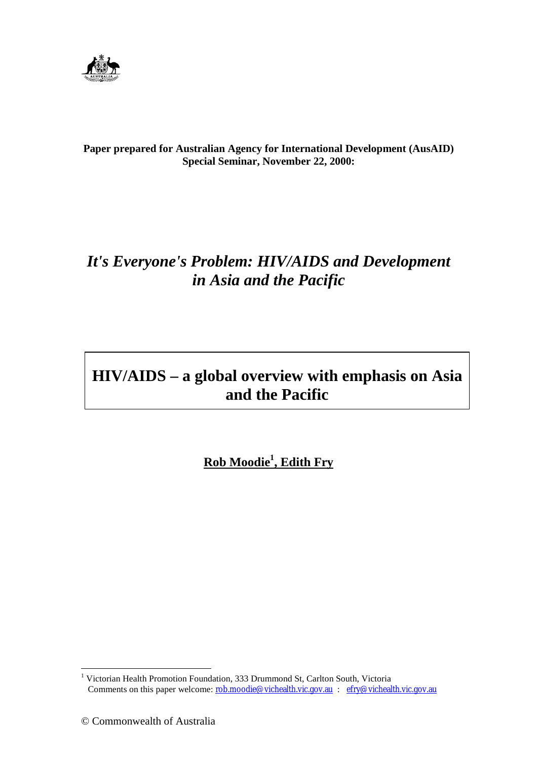

**Paper prepared for Australian Agency for International Development (AusAID) Special Seminar, November 22, 2000:**

# *It's Everyone's Problem: HIV/AIDS and Development in Asia and the Pacific*

# **HIV/AIDS – a global overview with emphasis on Asia and the Pacific**

**Rob Moodie1 , Edith Fry**

 1 Victorian Health Promotion Foundation, 333 Drummond St, Carlton South, Victoria Comments on this paper welcome: <u>rob.moodie@vichealth.vic.gov.au</u> : efry@vichealth.vic.gov.au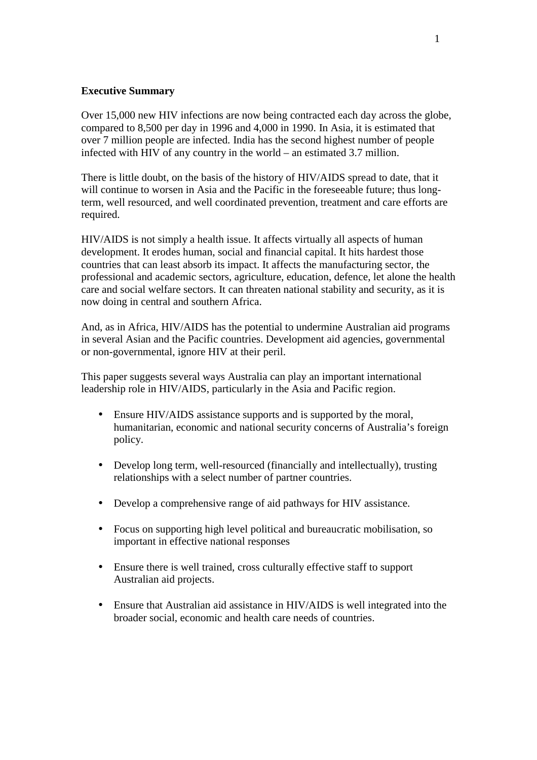## **Executive Summary**

Over 15,000 new HIV infections are now being contracted each day across the globe, compared to 8,500 per day in 1996 and 4,000 in 1990. In Asia, it is estimated that over 7 million people are infected. India has the second highest number of people infected with HIV of any country in the world – an estimated 3.7 million.

There is little doubt, on the basis of the history of HIV/AIDS spread to date, that it will continue to worsen in Asia and the Pacific in the foreseeable future; thus longterm, well resourced, and well coordinated prevention, treatment and care efforts are required.

HIV/AIDS is not simply a health issue. It affects virtually all aspects of human development. It erodes human, social and financial capital. It hits hardest those countries that can least absorb its impact. It affects the manufacturing sector, the professional and academic sectors, agriculture, education, defence, let alone the health care and social welfare sectors. It can threaten national stability and security, as it is now doing in central and southern Africa.

And, as in Africa, HIV/AIDS has the potential to undermine Australian aid programs in several Asian and the Pacific countries. Development aid agencies, governmental or non-governmental, ignore HIV at their peril.

This paper suggests several ways Australia can play an important international leadership role in HIV/AIDS, particularly in the Asia and Pacific region.

- Ensure HIV/AIDS assistance supports and is supported by the moral, humanitarian, economic and national security concerns of Australia's foreign policy.
- Develop long term, well-resourced (financially and intellectually), trusting relationships with a select number of partner countries.
- Develop a comprehensive range of aid pathways for HIV assistance.
- Focus on supporting high level political and bureaucratic mobilisation, so important in effective national responses
- Ensure there is well trained, cross culturally effective staff to support Australian aid projects.
- Ensure that Australian aid assistance in HIV/AIDS is well integrated into the broader social, economic and health care needs of countries.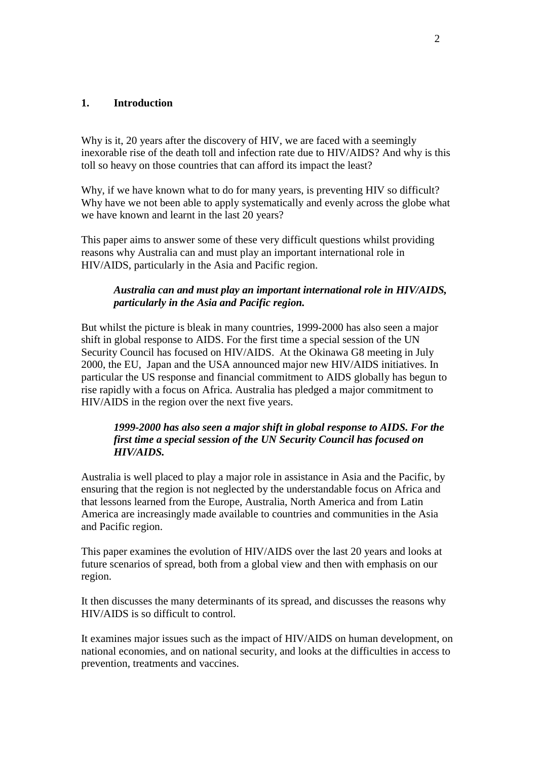#### **1. Introduction**

Why is it, 20 years after the discovery of HIV, we are faced with a seemingly inexorable rise of the death toll and infection rate due to HIV/AIDS? And why is this toll so heavy on those countries that can afford its impact the least?

Why, if we have known what to do for many years, is preventing HIV so difficult? Why have we not been able to apply systematically and evenly across the globe what we have known and learnt in the last 20 years?

This paper aims to answer some of these very difficult questions whilst providing reasons why Australia can and must play an important international role in HIV/AIDS, particularly in the Asia and Pacific region.

## *Australia can and must play an important international role in HIV/AIDS, particularly in the Asia and Pacific region.*

But whilst the picture is bleak in many countries, 1999-2000 has also seen a major shift in global response to AIDS. For the first time a special session of the UN Security Council has focused on HIV/AIDS. At the Okinawa G8 meeting in July 2000, the EU, Japan and the USA announced major new HIV/AIDS initiatives. In particular the US response and financial commitment to AIDS globally has begun to rise rapidly with a focus on Africa. Australia has pledged a major commitment to HIV/AIDS in the region over the next five years.

## *1999-2000 has also seen a major shift in global response to AIDS. For the first time a special session of the UN Security Council has focused on HIV/AIDS.*

Australia is well placed to play a major role in assistance in Asia and the Pacific, by ensuring that the region is not neglected by the understandable focus on Africa and that lessons learned from the Europe, Australia, North America and from Latin America are increasingly made available to countries and communities in the Asia and Pacific region.

This paper examines the evolution of HIV/AIDS over the last 20 years and looks at future scenarios of spread, both from a global view and then with emphasis on our region.

It then discusses the many determinants of its spread, and discusses the reasons why HIV/AIDS is so difficult to control.

It examines major issues such as the impact of HIV/AIDS on human development, on national economies, and on national security, and looks at the difficulties in access to prevention, treatments and vaccines.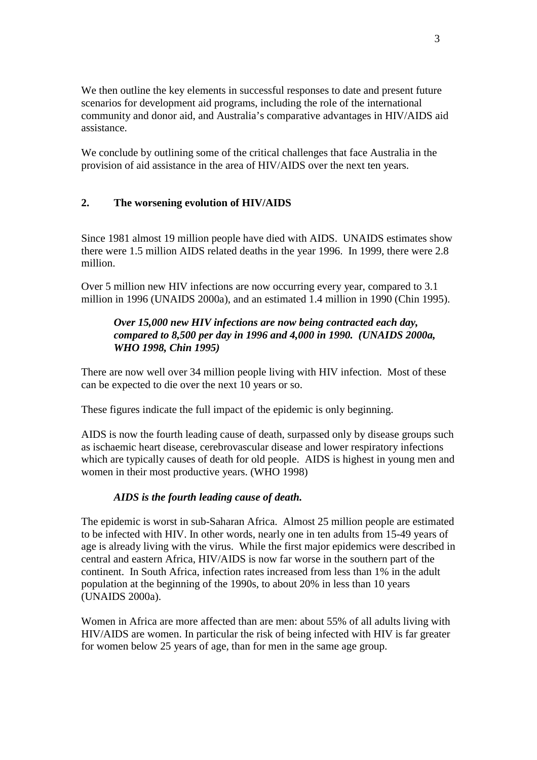We then outline the key elements in successful responses to date and present future scenarios for development aid programs, including the role of the international community and donor aid, and Australia's comparative advantages in HIV/AIDS aid assistance.

We conclude by outlining some of the critical challenges that face Australia in the provision of aid assistance in the area of HIV/AIDS over the next ten years.

## **2. The worsening evolution of HIV/AIDS**

Since 1981 almost 19 million people have died with AIDS. UNAIDS estimates show there were 1.5 million AIDS related deaths in the year 1996. In 1999, there were 2.8 million.

Over 5 million new HIV infections are now occurring every year, compared to 3.1 million in 1996 (UNAIDS 2000a), and an estimated 1.4 million in 1990 (Chin 1995).

## *Over 15,000 new HIV infections are now being contracted each day, compared to 8,500 per day in 1996 and 4,000 in 1990. (UNAIDS 2000a, WHO 1998, Chin 1995)*

There are now well over 34 million people living with HIV infection. Most of these can be expected to die over the next 10 years or so.

These figures indicate the full impact of the epidemic is only beginning.

AIDS is now the fourth leading cause of death, surpassed only by disease groups such as ischaemic heart disease, cerebrovascular disease and lower respiratory infections which are typically causes of death for old people. AIDS is highest in young men and women in their most productive years. (WHO 1998)

## *AIDS is the fourth leading cause of death.*

The epidemic is worst in sub-Saharan Africa. Almost 25 million people are estimated to be infected with HIV. In other words, nearly one in ten adults from 15-49 years of age is already living with the virus. While the first major epidemics were described in central and eastern Africa, HIV/AIDS is now far worse in the southern part of the continent. In South Africa, infection rates increased from less than 1% in the adult population at the beginning of the 1990s, to about 20% in less than 10 years (UNAIDS 2000a).

Women in Africa are more affected than are men: about 55% of all adults living with HIV/AIDS are women. In particular the risk of being infected with HIV is far greater for women below 25 years of age, than for men in the same age group.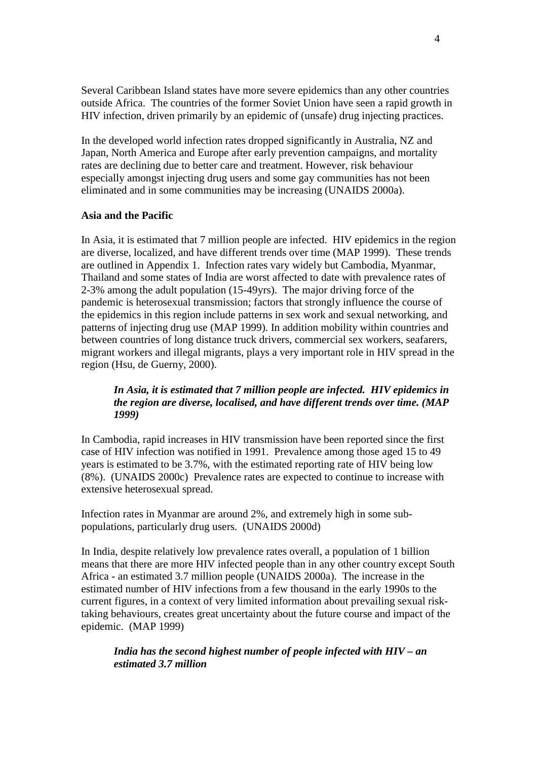Several Caribbean Island states have more severe epidemics than any other countries outside Africa. The countries of the former Soviet Union have seen a rapid growth in HIV infection, driven primarily by an epidemic of (unsafe) drug injecting practices.

In the developed world infection rates dropped significantly in Australia, NZ and Japan, North America and Europe after early prevention campaigns, and mortality rates are declining due to better care and treatment. However, risk behaviour especially amongst injecting drug users and some gay communities has not been eliminated and in some communities may be increasing (UNAIDS 2000a).

#### **Asia and the Pacific**

In Asia, it is estimated that 7 million people are infected. HIV epidemics in the region are diverse, localized, and have different trends over time (MAP 1999). These trends are outlined in Appendix 1. Infection rates vary widely but Cambodia, Myanmar, Thailand and some states of India are worst affected to date with prevalence rates of 2-3% among the adult population (15-49yrs). The major driving force of the pandemic is heterosexual transmission; factors that strongly influence the course of the epidemics in this region include patterns in sex work and sexual networking, and patterns of injecting drug use (MAP 1999). In addition mobility within countries and between countries of long distance truck drivers, commercial sex workers, seafarers, migrant workers and illegal migrants, plays a very important role in HIV spread in the region (Hsu, de Guerny, 2000).

## *In Asia, it is estimated that 7 million people are infected. HIV epidemics in the region are diverse, localised, and have different trends over time. (MAP 1999)*

In Cambodia, rapid increases in HIV transmission have been reported since the first case of HIV infection was notified in 1991. Prevalence among those aged 15 to 49 years is estimated to be 3.7%, with the estimated reporting rate of HIV being low (8%). (UNAIDS 2000c) Prevalence rates are expected to continue to increase with extensive heterosexual spread.

Infection rates in Myanmar are around 2%, and extremely high in some subpopulations, particularly drug users. (UNAIDS 2000d)

In India, despite relatively low prevalence rates overall, a population of 1 billion means that there are more HIV infected people than in any other country except South Africa - an estimated 3.7 million people (UNAIDS 2000a). The increase in the estimated number of HIV infections from a few thousand in the early 1990s to the current figures, in a context of very limited information about prevailing sexual risktaking behaviours, creates great uncertainty about the future course and impact of the epidemic. (MAP 1999)

## *India has the second highest number of people infected with HIV – an estimated 3.7 million*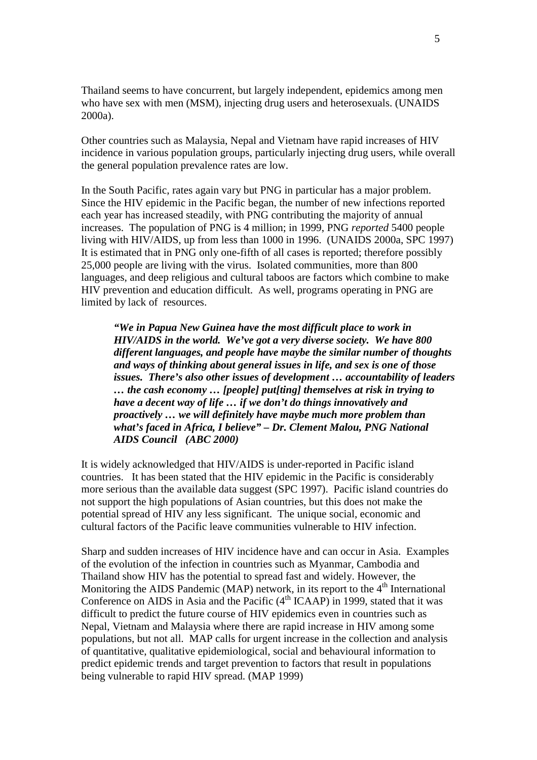Thailand seems to have concurrent, but largely independent, epidemics among men who have sex with men (MSM), injecting drug users and heterosexuals. (UNAIDS 2000a).

Other countries such as Malaysia, Nepal and Vietnam have rapid increases of HIV incidence in various population groups, particularly injecting drug users, while overall the general population prevalence rates are low.

In the South Pacific, rates again vary but PNG in particular has a major problem. Since the HIV epidemic in the Pacific began, the number of new infections reported each year has increased steadily, with PNG contributing the majority of annual increases. The population of PNG is 4 million; in 1999, PNG *reported* 5400 people living with HIV/AIDS, up from less than 1000 in 1996. (UNAIDS 2000a, SPC 1997) It is estimated that in PNG only one-fifth of all cases is reported; therefore possibly 25,000 people are living with the virus. Isolated communities, more than 800 languages, and deep religious and cultural taboos are factors which combine to make HIV prevention and education difficult. As well, programs operating in PNG are limited by lack of resources.

*"We in Papua New Guinea have the most difficult place to work in HIV/AIDS in the world. We've got a very diverse society. We have 800 different languages, and people have maybe the similar number of thoughts and ways of thinking about general issues in life, and sex is one of those issues. There's also other issues of development … accountability of leaders … the cash economy … [people] put[ting] themselves at risk in trying to have a decent way of life … if we don't do things innovatively and proactively … we will definitely have maybe much more problem than what's faced in Africa, I believe" – Dr. Clement Malou, PNG National AIDS Council (ABC 2000)*

It is widely acknowledged that HIV/AIDS is under-reported in Pacific island countries. It has been stated that the HIV epidemic in the Pacific is considerably more serious than the available data suggest (SPC 1997). Pacific island countries do not support the high populations of Asian countries, but this does not make the potential spread of HIV any less significant. The unique social, economic and cultural factors of the Pacific leave communities vulnerable to HIV infection.

Sharp and sudden increases of HIV incidence have and can occur in Asia. Examples of the evolution of the infection in countries such as Myanmar, Cambodia and Thailand show HIV has the potential to spread fast and widely. However, the Monitoring the AIDS Pandemic (MAP) network, in its report to the  $4<sup>th</sup>$  International Conference on AIDS in Asia and the Pacific  $(4<sup>th</sup> ICAAP)$  in 1999, stated that it was difficult to predict the future course of HIV epidemics even in countries such as Nepal, Vietnam and Malaysia where there are rapid increase in HIV among some populations, but not all. MAP calls for urgent increase in the collection and analysis of quantitative, qualitative epidemiological, social and behavioural information to predict epidemic trends and target prevention to factors that result in populations being vulnerable to rapid HIV spread. (MAP 1999)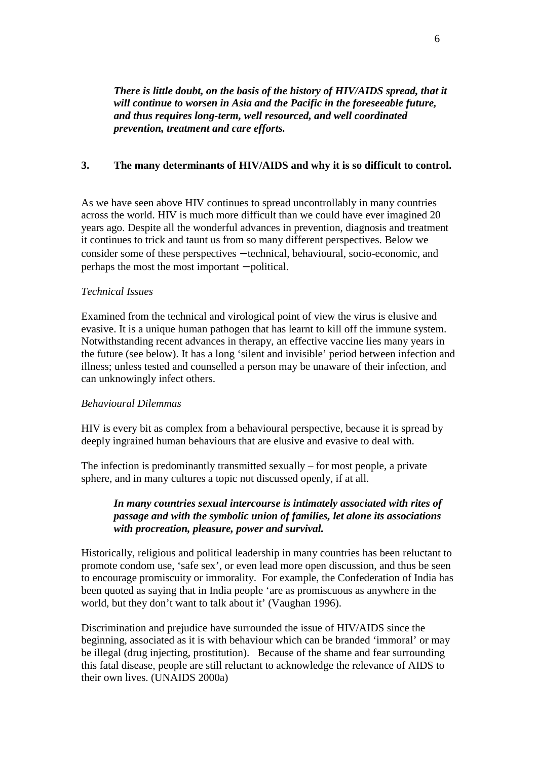*There is little doubt, on the basis of the history of HIV/AIDS spread, that it will continue to worsen in Asia and the Pacific in the foreseeable future, and thus requires long-term, well resourced, and well coordinated prevention, treatment and care efforts.*

## **3. The many determinants of HIV/AIDS and why it is so difficult to control.**

As we have seen above HIV continues to spread uncontrollably in many countries across the world. HIV is much more difficult than we could have ever imagined 20 years ago. Despite all the wonderful advances in prevention, diagnosis and treatment it continues to trick and taunt us from so many different perspectives. Below we consider some of these perspectives − technical, behavioural, socio-economic, and perhaps the most the most important − political.

## *Technical Issues*

Examined from the technical and virological point of view the virus is elusive and evasive. It is a unique human pathogen that has learnt to kill off the immune system. Notwithstanding recent advances in therapy, an effective vaccine lies many years in the future (see below). It has a long 'silent and invisible' period between infection and illness; unless tested and counselled a person may be unaware of their infection, and can unknowingly infect others.

## *Behavioural Dilemmas*

HIV is every bit as complex from a behavioural perspective, because it is spread by deeply ingrained human behaviours that are elusive and evasive to deal with.

The infection is predominantly transmitted sexually – for most people, a private sphere, and in many cultures a topic not discussed openly, if at all.

## *In many countries sexual intercourse is intimately associated with rites of passage and with the symbolic union of families, let alone its associations with procreation, pleasure, power and survival.*

Historically, religious and political leadership in many countries has been reluctant to promote condom use, 'safe sex', or even lead more open discussion, and thus be seen to encourage promiscuity or immorality. For example, the Confederation of India has been quoted as saying that in India people 'are as promiscuous as anywhere in the world, but they don't want to talk about it' (Vaughan 1996).

Discrimination and prejudice have surrounded the issue of HIV/AIDS since the beginning, associated as it is with behaviour which can be branded 'immoral' or may be illegal (drug injecting, prostitution). Because of the shame and fear surrounding this fatal disease, people are still reluctant to acknowledge the relevance of AIDS to their own lives. (UNAIDS 2000a)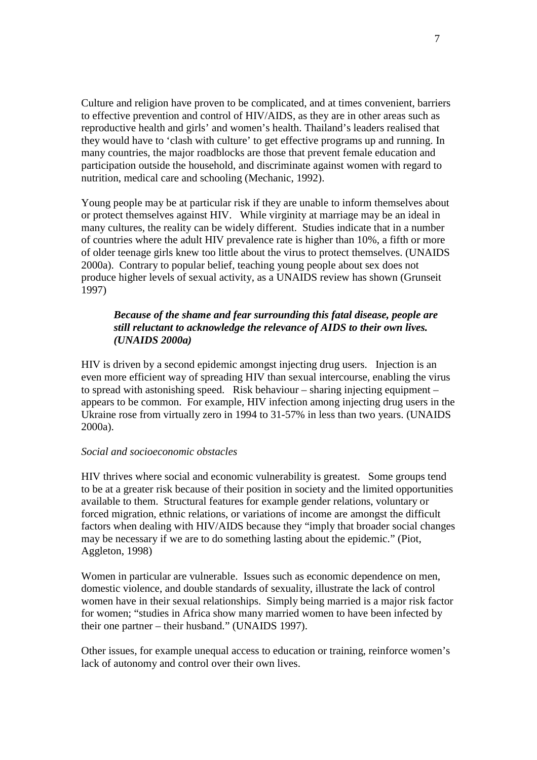Culture and religion have proven to be complicated, and at times convenient, barriers to effective prevention and control of HIV/AIDS, as they are in other areas such as reproductive health and girls' and women's health. Thailand's leaders realised that they would have to 'clash with culture' to get effective programs up and running. In many countries, the major roadblocks are those that prevent female education and participation outside the household, and discriminate against women with regard to nutrition, medical care and schooling (Mechanic, 1992).

Young people may be at particular risk if they are unable to inform themselves about or protect themselves against HIV. While virginity at marriage may be an ideal in many cultures, the reality can be widely different. Studies indicate that in a number of countries where the adult HIV prevalence rate is higher than 10%, a fifth or more of older teenage girls knew too little about the virus to protect themselves. (UNAIDS 2000a). Contrary to popular belief, teaching young people about sex does not produce higher levels of sexual activity, as a UNAIDS review has shown (Grunseit 1997)

## *Because of the shame and fear surrounding this fatal disease, people are still reluctant to acknowledge the relevance of AIDS to their own lives. (UNAIDS 2000a)*

HIV is driven by a second epidemic amongst injecting drug users. Injection is an even more efficient way of spreading HIV than sexual intercourse, enabling the virus to spread with astonishing speed. Risk behaviour – sharing injecting equipment – appears to be common. For example, HIV infection among injecting drug users in the Ukraine rose from virtually zero in 1994 to 31-57% in less than two years. (UNAIDS 2000a).

#### *Social and socioeconomic obstacles*

HIV thrives where social and economic vulnerability is greatest. Some groups tend to be at a greater risk because of their position in society and the limited opportunities available to them. Structural features for example gender relations, voluntary or forced migration, ethnic relations, or variations of income are amongst the difficult factors when dealing with HIV/AIDS because they "imply that broader social changes may be necessary if we are to do something lasting about the epidemic." (Piot, Aggleton, 1998)

Women in particular are vulnerable. Issues such as economic dependence on men, domestic violence, and double standards of sexuality, illustrate the lack of control women have in their sexual relationships. Simply being married is a major risk factor for women; "studies in Africa show many married women to have been infected by their one partner – their husband." (UNAIDS 1997).

Other issues, for example unequal access to education or training, reinforce women's lack of autonomy and control over their own lives.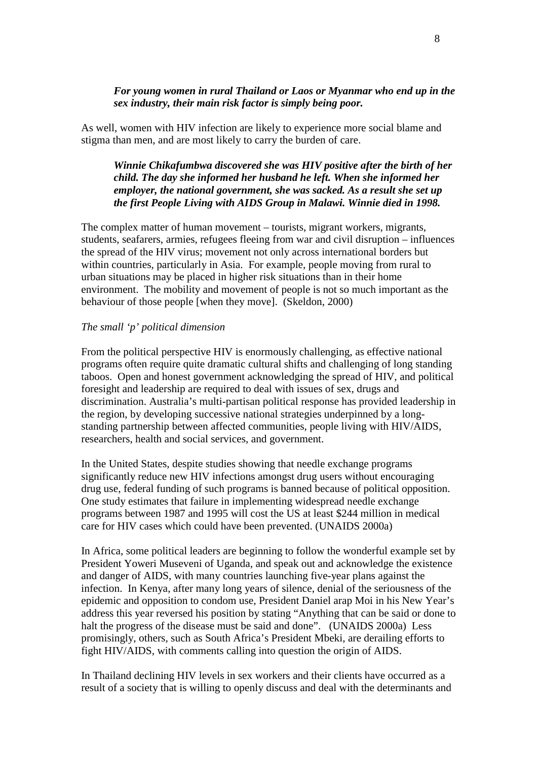## *For young women in rural Thailand or Laos or Myanmar who end up in the sex industry, their main risk factor is simply being poor.*

As well, women with HIV infection are likely to experience more social blame and stigma than men, and are most likely to carry the burden of care.

## *Winnie Chikafumbwa discovered she was HIV positive after the birth of her child. The day she informed her husband he left. When she informed her employer, the national government, she was sacked. As a result she set up the first People Living with AIDS Group in Malawi. Winnie died in 1998.*

The complex matter of human movement – tourists, migrant workers, migrants, students, seafarers, armies, refugees fleeing from war and civil disruption – influences the spread of the HIV virus; movement not only across international borders but within countries, particularly in Asia. For example, people moving from rural to urban situations may be placed in higher risk situations than in their home environment. The mobility and movement of people is not so much important as the behaviour of those people [when they move]. (Skeldon, 2000)

## *The small 'p' political dimension*

From the political perspective HIV is enormously challenging, as effective national programs often require quite dramatic cultural shifts and challenging of long standing taboos. Open and honest government acknowledging the spread of HIV, and political foresight and leadership are required to deal with issues of sex, drugs and discrimination. Australia's multi-partisan political response has provided leadership in the region, by developing successive national strategies underpinned by a longstanding partnership between affected communities, people living with HIV/AIDS, researchers, health and social services, and government.

In the United States, despite studies showing that needle exchange programs significantly reduce new HIV infections amongst drug users without encouraging drug use, federal funding of such programs is banned because of political opposition. One study estimates that failure in implementing widespread needle exchange programs between 1987 and 1995 will cost the US at least \$244 million in medical care for HIV cases which could have been prevented. (UNAIDS 2000a)

In Africa, some political leaders are beginning to follow the wonderful example set by President Yoweri Museveni of Uganda, and speak out and acknowledge the existence and danger of AIDS, with many countries launching five-year plans against the infection. In Kenya, after many long years of silence, denial of the seriousness of the epidemic and opposition to condom use, President Daniel arap Moi in his New Year's address this year reversed his position by stating "Anything that can be said or done to halt the progress of the disease must be said and done". (UNAIDS 2000a) Less promisingly, others, such as South Africa's President Mbeki, are derailing efforts to fight HIV/AIDS, with comments calling into question the origin of AIDS.

In Thailand declining HIV levels in sex workers and their clients have occurred as a result of a society that is willing to openly discuss and deal with the determinants and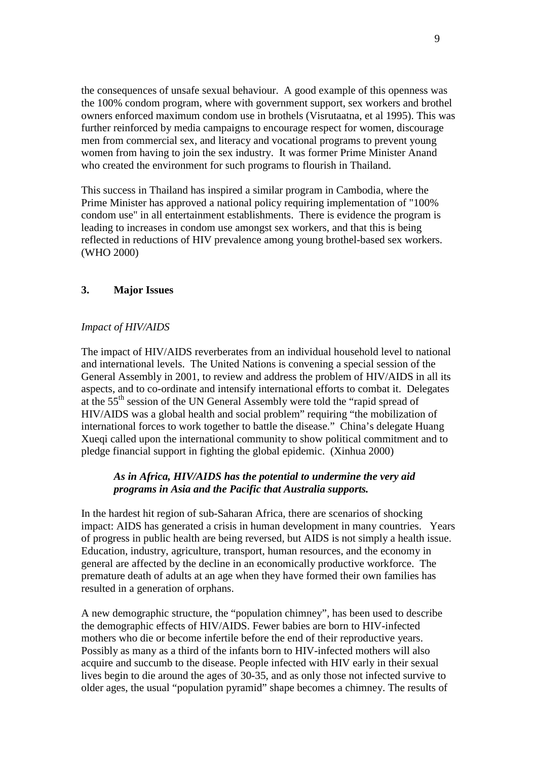the consequences of unsafe sexual behaviour. A good example of this openness was the 100% condom program, where with government support, sex workers and brothel owners enforced maximum condom use in brothels (Visrutaatna, et al 1995). This was further reinforced by media campaigns to encourage respect for women, discourage men from commercial sex, and literacy and vocational programs to prevent young women from having to join the sex industry. It was former Prime Minister Anand who created the environment for such programs to flourish in Thailand.

This success in Thailand has inspired a similar program in Cambodia, where the Prime Minister has approved a national policy requiring implementation of "100% condom use" in all entertainment establishments. There is evidence the program is leading to increases in condom use amongst sex workers, and that this is being reflected in reductions of HIV prevalence among young brothel-based sex workers. (WHO 2000)

## **3. Major Issues**

## *Impact of HIV/AIDS*

The impact of HIV/AIDS reverberates from an individual household level to national and international levels. The United Nations is convening a special session of the General Assembly in 2001, to review and address the problem of HIV/AIDS in all its aspects, and to co-ordinate and intensify international efforts to combat it. Delegates at the 55th session of the UN General Assembly were told the "rapid spread of HIV/AIDS was a global health and social problem" requiring "the mobilization of international forces to work together to battle the disease." China's delegate Huang Xueqi called upon the international community to show political commitment and to pledge financial support in fighting the global epidemic. (Xinhua 2000)

## *As in Africa, HIV/AIDS has the potential to undermine the very aid programs in Asia and the Pacific that Australia supports.*

In the hardest hit region of sub-Saharan Africa, there are scenarios of shocking impact: AIDS has generated a crisis in human development in many countries. Years of progress in public health are being reversed, but AIDS is not simply a health issue. Education, industry, agriculture, transport, human resources, and the economy in general are affected by the decline in an economically productive workforce. The premature death of adults at an age when they have formed their own families has resulted in a generation of orphans.

A new demographic structure, the "population chimney", has been used to describe the demographic effects of HIV/AIDS. Fewer babies are born to HIV-infected mothers who die or become infertile before the end of their reproductive years. Possibly as many as a third of the infants born to HIV-infected mothers will also acquire and succumb to the disease. People infected with HIV early in their sexual lives begin to die around the ages of 30-35, and as only those not infected survive to older ages, the usual "population pyramid" shape becomes a chimney. The results of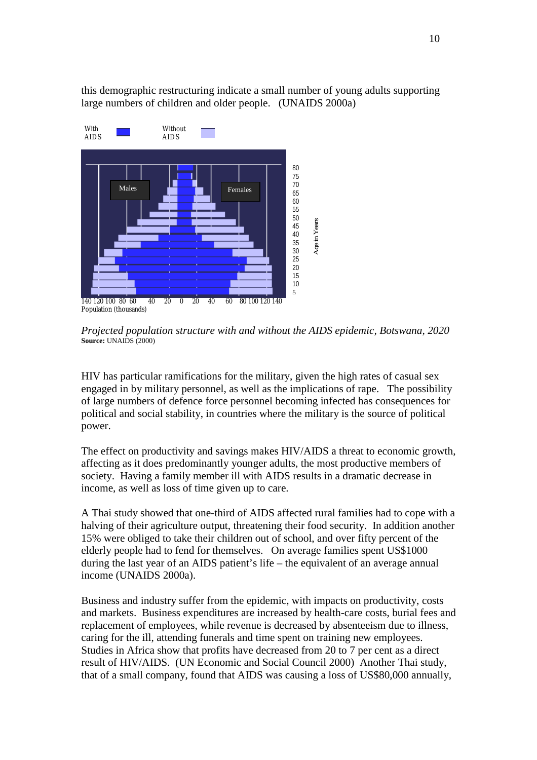this demographic restructuring indicate a small number of young adults supporting large numbers of children and older people. (UNAIDS 2000a)



*Projected population structure with and without the AIDS epidemic, Botswana, 2020* **Source:** UNAIDS (2000)

HIV has particular ramifications for the military, given the high rates of casual sex engaged in by military personnel, as well as the implications of rape. The possibility of large numbers of defence force personnel becoming infected has consequences for political and social stability, in countries where the military is the source of political power.

The effect on productivity and savings makes HIV/AIDS a threat to economic growth, affecting as it does predominantly younger adults, the most productive members of society. Having a family member ill with AIDS results in a dramatic decrease in income, as well as loss of time given up to care.

A Thai study showed that one-third of AIDS affected rural families had to cope with a halving of their agriculture output, threatening their food security. In addition another 15% were obliged to take their children out of school, and over fifty percent of the elderly people had to fend for themselves. On average families spent US\$1000 during the last year of an AIDS patient's life – the equivalent of an average annual income (UNAIDS 2000a).

Business and industry suffer from the epidemic, with impacts on productivity, costs and markets. Business expenditures are increased by health-care costs, burial fees and replacement of employees, while revenue is decreased by absenteeism due to illness, caring for the ill, attending funerals and time spent on training new employees. Studies in Africa show that profits have decreased from 20 to 7 per cent as a direct result of HIV/AIDS. (UN Economic and Social Council 2000) Another Thai study, that of a small company, found that AIDS was causing a loss of US\$80,000 annually,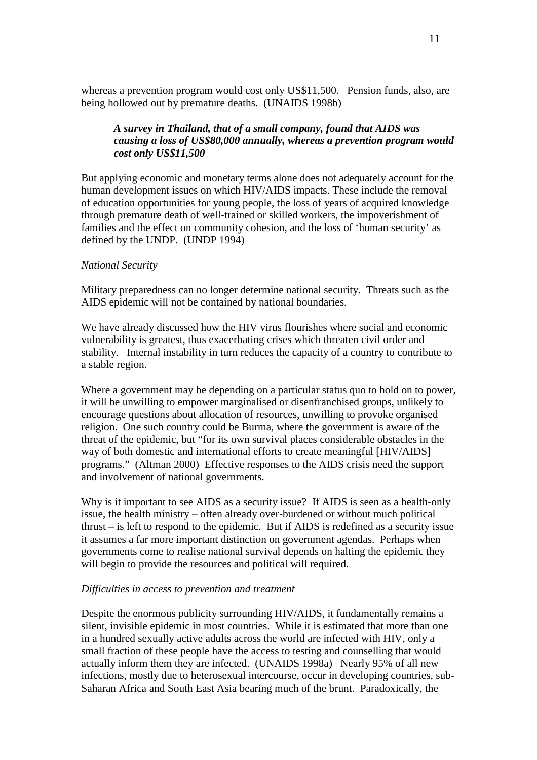whereas a prevention program would cost only US\$11,500. Pension funds, also, are being hollowed out by premature deaths. (UNAIDS 1998b)

## *A survey in Thailand, that of a small company, found that AIDS was causing a loss of US\$80,000 annually, whereas a prevention program would cost only US\$11,500*

But applying economic and monetary terms alone does not adequately account for the human development issues on which HIV/AIDS impacts. These include the removal of education opportunities for young people, the loss of years of acquired knowledge through premature death of well-trained or skilled workers, the impoverishment of families and the effect on community cohesion, and the loss of 'human security' as defined by the UNDP. (UNDP 1994)

#### *National Security*

Military preparedness can no longer determine national security. Threats such as the AIDS epidemic will not be contained by national boundaries.

We have already discussed how the HIV virus flourishes where social and economic vulnerability is greatest, thus exacerbating crises which threaten civil order and stability. Internal instability in turn reduces the capacity of a country to contribute to a stable region.

Where a government may be depending on a particular status quo to hold on to power, it will be unwilling to empower marginalised or disenfranchised groups, unlikely to encourage questions about allocation of resources, unwilling to provoke organised religion. One such country could be Burma, where the government is aware of the threat of the epidemic, but "for its own survival places considerable obstacles in the way of both domestic and international efforts to create meaningful [HIV/AIDS] programs." (Altman 2000) Effective responses to the AIDS crisis need the support and involvement of national governments.

Why is it important to see AIDS as a security issue? If AIDS is seen as a health-only issue, the health ministry – often already over-burdened or without much political thrust – is left to respond to the epidemic. But if AIDS is redefined as a security issue it assumes a far more important distinction on government agendas. Perhaps when governments come to realise national survival depends on halting the epidemic they will begin to provide the resources and political will required.

#### *Difficulties in access to prevention and treatment*

Despite the enormous publicity surrounding HIV/AIDS, it fundamentally remains a silent, invisible epidemic in most countries. While it is estimated that more than one in a hundred sexually active adults across the world are infected with HIV, only a small fraction of these people have the access to testing and counselling that would actually inform them they are infected. (UNAIDS 1998a) Nearly 95% of all new infections, mostly due to heterosexual intercourse, occur in developing countries, sub-Saharan Africa and South East Asia bearing much of the brunt. Paradoxically, the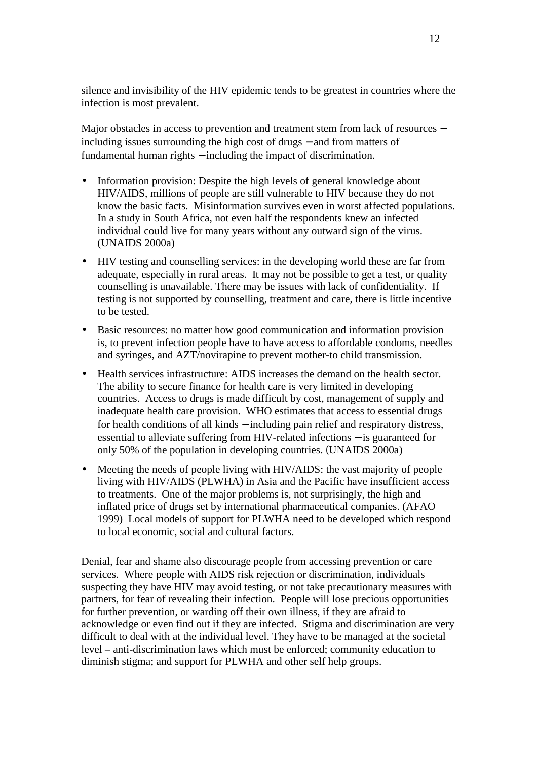silence and invisibility of the HIV epidemic tends to be greatest in countries where the infection is most prevalent.

Major obstacles in access to prevention and treatment stem from lack of resources − including issues surrounding the high cost of drugs − and from matters of fundamental human rights − including the impact of discrimination.

- Information provision: Despite the high levels of general knowledge about HIV/AIDS, millions of people are still vulnerable to HIV because they do not know the basic facts. Misinformation survives even in worst affected populations. In a study in South Africa, not even half the respondents knew an infected individual could live for many years without any outward sign of the virus. (UNAIDS 2000a)
- HIV testing and counselling services: in the developing world these are far from adequate, especially in rural areas. It may not be possible to get a test, or quality counselling is unavailable. There may be issues with lack of confidentiality. If testing is not supported by counselling, treatment and care, there is little incentive to be tested.
- Basic resources: no matter how good communication and information provision is, to prevent infection people have to have access to affordable condoms, needles and syringes, and AZT/novirapine to prevent mother-to child transmission.
- Health services infrastructure: AIDS increases the demand on the health sector. The ability to secure finance for health care is very limited in developing countries. Access to drugs is made difficult by cost, management of supply and inadequate health care provision. WHO estimates that access to essential drugs for health conditions of all kinds – including pain relief and respiratory distress, essential to alleviate suffering from HIV-related infections − is guaranteed for only 50% of the population in developing countries. (UNAIDS 2000a)
- Meeting the needs of people living with HIV/AIDS: the vast majority of people living with HIV/AIDS (PLWHA) in Asia and the Pacific have insufficient access to treatments. One of the major problems is, not surprisingly, the high and inflated price of drugs set by international pharmaceutical companies. (AFAO 1999) Local models of support for PLWHA need to be developed which respond to local economic, social and cultural factors.

Denial, fear and shame also discourage people from accessing prevention or care services. Where people with AIDS risk rejection or discrimination, individuals suspecting they have HIV may avoid testing, or not take precautionary measures with partners, for fear of revealing their infection. People will lose precious opportunities for further prevention, or warding off their own illness, if they are afraid to acknowledge or even find out if they are infected. Stigma and discrimination are very difficult to deal with at the individual level. They have to be managed at the societal level – anti-discrimination laws which must be enforced; community education to diminish stigma; and support for PLWHA and other self help groups.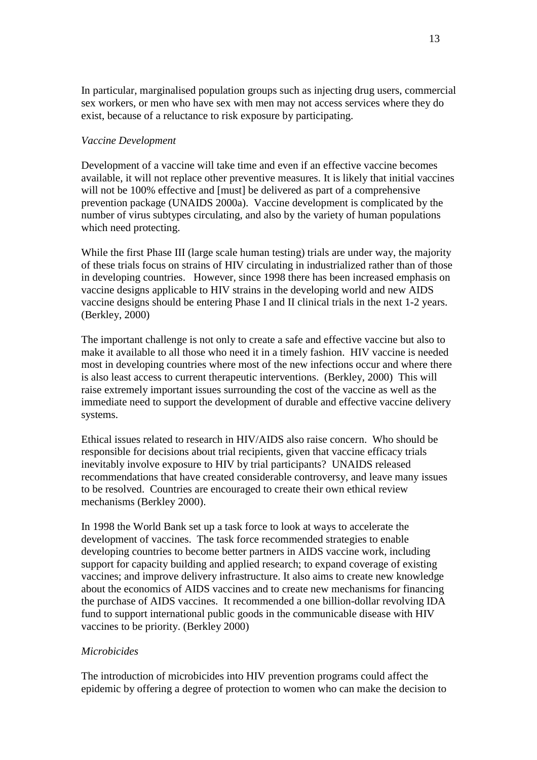In particular, marginalised population groups such as injecting drug users, commercial sex workers, or men who have sex with men may not access services where they do exist, because of a reluctance to risk exposure by participating.

## *Vaccine Development*

Development of a vaccine will take time and even if an effective vaccine becomes available, it will not replace other preventive measures. It is likely that initial vaccines will not be 100% effective and [must] be delivered as part of a comprehensive prevention package (UNAIDS 2000a). Vaccine development is complicated by the number of virus subtypes circulating, and also by the variety of human populations which need protecting.

While the first Phase III (large scale human testing) trials are under way, the majority of these trials focus on strains of HIV circulating in industrialized rather than of those in developing countries. However, since 1998 there has been increased emphasis on vaccine designs applicable to HIV strains in the developing world and new AIDS vaccine designs should be entering Phase I and II clinical trials in the next 1-2 years. (Berkley, 2000)

The important challenge is not only to create a safe and effective vaccine but also to make it available to all those who need it in a timely fashion. HIV vaccine is needed most in developing countries where most of the new infections occur and where there is also least access to current therapeutic interventions. (Berkley, 2000) This will raise extremely important issues surrounding the cost of the vaccine as well as the immediate need to support the development of durable and effective vaccine delivery systems.

Ethical issues related to research in HIV/AIDS also raise concern. Who should be responsible for decisions about trial recipients, given that vaccine efficacy trials inevitably involve exposure to HIV by trial participants? UNAIDS released recommendations that have created considerable controversy, and leave many issues to be resolved. Countries are encouraged to create their own ethical review mechanisms (Berkley 2000).

In 1998 the World Bank set up a task force to look at ways to accelerate the development of vaccines. The task force recommended strategies to enable developing countries to become better partners in AIDS vaccine work, including support for capacity building and applied research; to expand coverage of existing vaccines; and improve delivery infrastructure. It also aims to create new knowledge about the economics of AIDS vaccines and to create new mechanisms for financing the purchase of AIDS vaccines. It recommended a one billion-dollar revolving IDA fund to support international public goods in the communicable disease with HIV vaccines to be priority. (Berkley 2000)

#### *Microbicides*

The introduction of microbicides into HIV prevention programs could affect the epidemic by offering a degree of protection to women who can make the decision to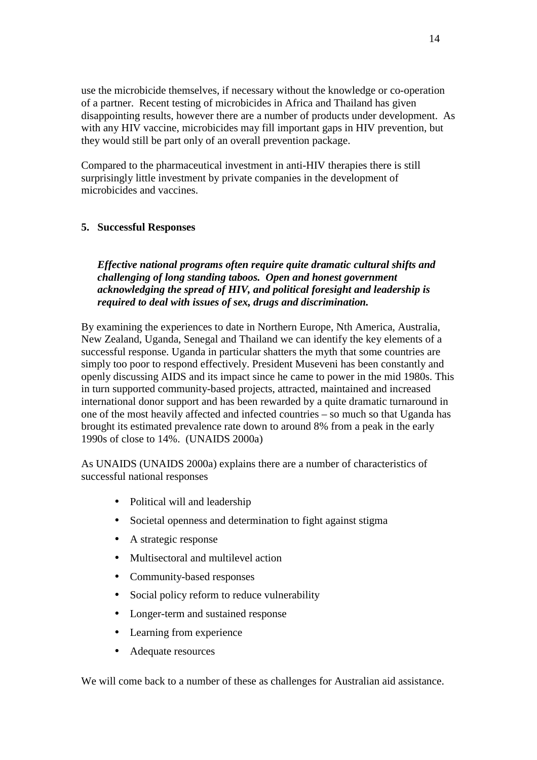use the microbicide themselves, if necessary without the knowledge or co-operation of a partner. Recent testing of microbicides in Africa and Thailand has given disappointing results, however there are a number of products under development. As with any HIV vaccine, microbicides may fill important gaps in HIV prevention, but they would still be part only of an overall prevention package.

Compared to the pharmaceutical investment in anti-HIV therapies there is still surprisingly little investment by private companies in the development of microbicides and vaccines.

## **5. Successful Responses**

*Effective national programs often require quite dramatic cultural shifts and challenging of long standing taboos. Open and honest government acknowledging the spread of HIV, and political foresight and leadership is required to deal with issues of sex, drugs and discrimination.*

By examining the experiences to date in Northern Europe, Nth America, Australia, New Zealand, Uganda, Senegal and Thailand we can identify the key elements of a successful response. Uganda in particular shatters the myth that some countries are simply too poor to respond effectively. President Museveni has been constantly and openly discussing AIDS and its impact since he came to power in the mid 1980s. This in turn supported community-based projects, attracted, maintained and increased international donor support and has been rewarded by a quite dramatic turnaround in one of the most heavily affected and infected countries – so much so that Uganda has brought its estimated prevalence rate down to around 8% from a peak in the early 1990s of close to 14%. (UNAIDS 2000a)

As UNAIDS (UNAIDS 2000a) explains there are a number of characteristics of successful national responses

- Political will and leadership
- Societal openness and determination to fight against stigma
- A strategic response
- Multisectoral and multilevel action
- Community-based responses
- Social policy reform to reduce vulnerability
- Longer-term and sustained response
- Learning from experience
- Adequate resources

We will come back to a number of these as challenges for Australian aid assistance.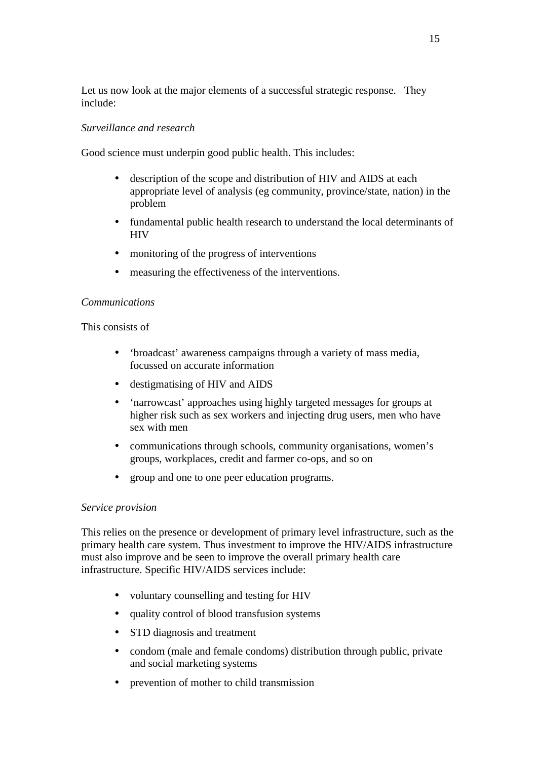Let us now look at the major elements of a successful strategic response. They include:

## *Surveillance and research*

Good science must underpin good public health. This includes:

- description of the scope and distribution of HIV and AIDS at each appropriate level of analysis (eg community, province/state, nation) in the problem
- fundamental public health research to understand the local determinants of **HIV**
- monitoring of the progress of interventions
- measuring the effectiveness of the interventions.

## *Communications*

#### This consists of

- 'broadcast' awareness campaigns through a variety of mass media, focussed on accurate information
- destigmatising of HIV and AIDS
- 'narrowcast' approaches using highly targeted messages for groups at higher risk such as sex workers and injecting drug users, men who have sex with men
- communications through schools, community organisations, women's groups, workplaces, credit and farmer co-ops, and so on
- group and one to one peer education programs.

## *Service provision*

This relies on the presence or development of primary level infrastructure, such as the primary health care system. Thus investment to improve the HIV/AIDS infrastructure must also improve and be seen to improve the overall primary health care infrastructure. Specific HIV/AIDS services include:

- voluntary counselling and testing for HIV
- quality control of blood transfusion systems
- STD diagnosis and treatment
- condom (male and female condoms) distribution through public, private and social marketing systems
- prevention of mother to child transmission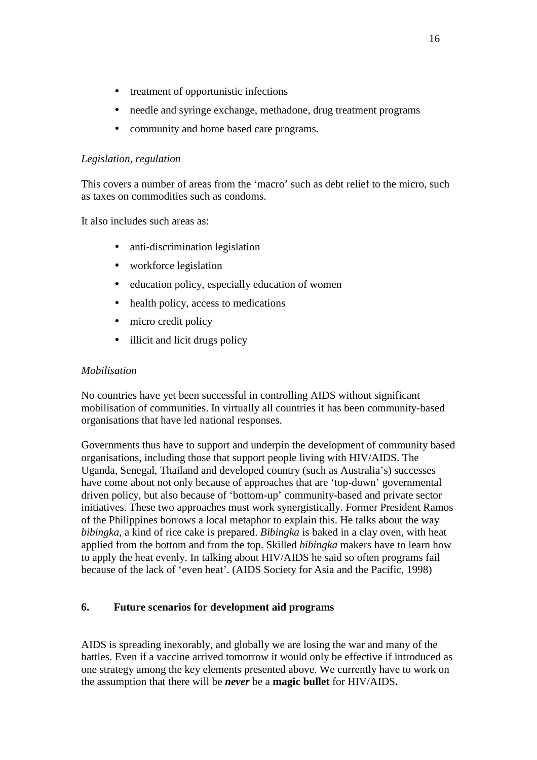- treatment of opportunistic infections
- needle and syringe exchange, methadone, drug treatment programs
- community and home based care programs.

## *Legislation, regulation*

This covers a number of areas from the 'macro' such as debt relief to the micro, such as taxes on commodities such as condoms.

It also includes such areas as:

- anti-discrimination legislation
- workforce legislation
- education policy, especially education of women
- health policy, access to medications
- micro credit policy
- illicit and licit drugs policy

## *Mobilisation*

No countries have yet been successful in controlling AIDS without significant mobilisation of communities. In virtually all countries it has been community-based organisations that have led national responses.

Governments thus have to support and underpin the development of community based organisations, including those that support people living with HIV/AIDS. The Uganda, Senegal, Thailand and developed country (such as Australia's) successes have come about not only because of approaches that are 'top-down' governmental driven policy, but also because of 'bottom-up' community-based and private sector initiatives. These two approaches must work synergistically. Former President Ramos of the Philippines borrows a local metaphor to explain this. He talks about the way *bibingka*, a kind of rice cake is prepared. *Bibingka* is baked in a clay oven, with heat applied from the bottom and from the top. Skilled *bibingka* makers have to learn how to apply the heat evenly. In talking about HIV/AIDS he said so often programs fail because of the lack of 'even heat'. (AIDS Society for Asia and the Pacific, 1998)

## **6. Future scenarios for development aid programs**

AIDS is spreading inexorably, and globally we are losing the war and many of the battles. Even if a vaccine arrived tomorrow it would only be effective if introduced as one strategy among the key elements presented above. We currently have to work on the assumption that there will be *never* be a **magic bullet** for HIV/AIDS**.**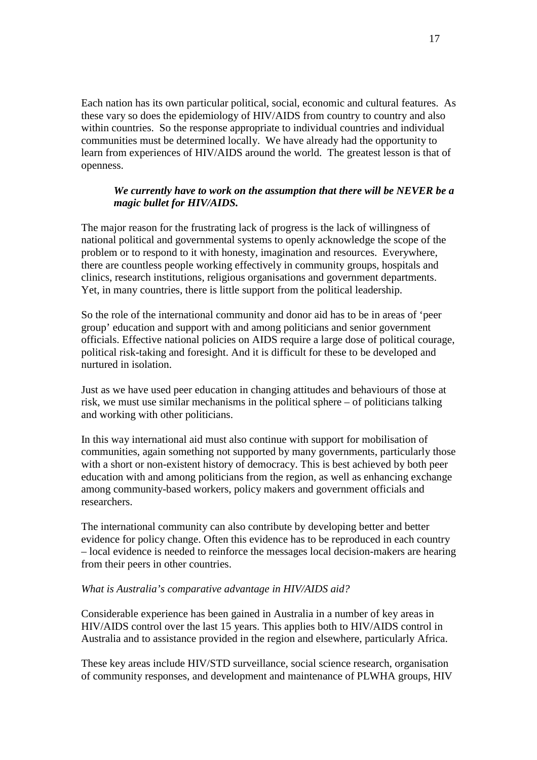Each nation has its own particular political, social, economic and cultural features. As these vary so does the epidemiology of HIV/AIDS from country to country and also within countries. So the response appropriate to individual countries and individual communities must be determined locally. We have already had the opportunity to learn from experiences of HIV/AIDS around the world. The greatest lesson is that of openness.

## *We currently have to work on the assumption that there will be NEVER be a magic bullet for HIV/AIDS.*

The major reason for the frustrating lack of progress is the lack of willingness of national political and governmental systems to openly acknowledge the scope of the problem or to respond to it with honesty, imagination and resources. Everywhere, there are countless people working effectively in community groups, hospitals and clinics, research institutions, religious organisations and government departments. Yet, in many countries, there is little support from the political leadership.

So the role of the international community and donor aid has to be in areas of 'peer group' education and support with and among politicians and senior government officials. Effective national policies on AIDS require a large dose of political courage, political risk-taking and foresight. And it is difficult for these to be developed and nurtured in isolation.

Just as we have used peer education in changing attitudes and behaviours of those at risk, we must use similar mechanisms in the political sphere – of politicians talking and working with other politicians.

In this way international aid must also continue with support for mobilisation of communities, again something not supported by many governments, particularly those with a short or non-existent history of democracy. This is best achieved by both peer education with and among politicians from the region, as well as enhancing exchange among community-based workers, policy makers and government officials and researchers.

The international community can also contribute by developing better and better evidence for policy change. Often this evidence has to be reproduced in each country – local evidence is needed to reinforce the messages local decision-makers are hearing from their peers in other countries.

#### *What is Australia's comparative advantage in HIV/AIDS aid?*

Considerable experience has been gained in Australia in a number of key areas in HIV/AIDS control over the last 15 years. This applies both to HIV/AIDS control in Australia and to assistance provided in the region and elsewhere, particularly Africa.

These key areas include HIV/STD surveillance, social science research, organisation of community responses, and development and maintenance of PLWHA groups, HIV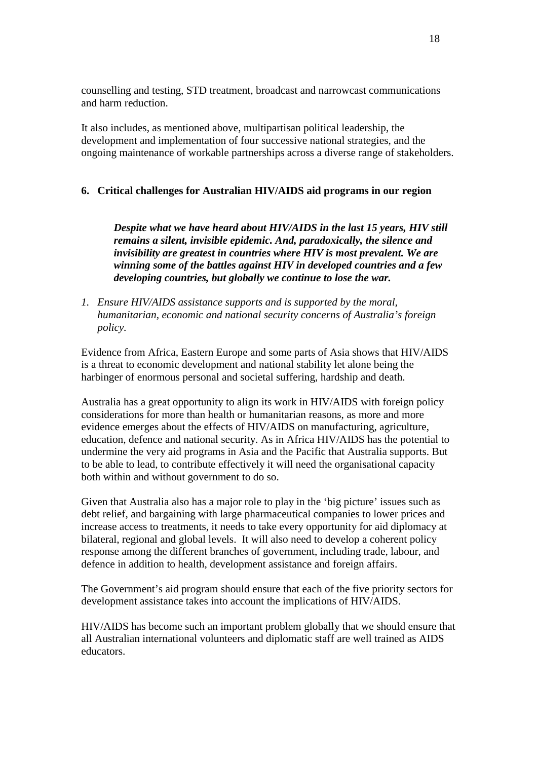counselling and testing, STD treatment, broadcast and narrowcast communications and harm reduction.

It also includes, as mentioned above, multipartisan political leadership, the development and implementation of four successive national strategies, and the ongoing maintenance of workable partnerships across a diverse range of stakeholders.

#### **6. Critical challenges for Australian HIV/AIDS aid programs in our region**

*Despite what we have heard about HIV/AIDS in the last 15 years, HIV still remains a silent, invisible epidemic. And, paradoxically, the silence and invisibility are greatest in countries where HIV is most prevalent. We are winning some of the battles against HIV in developed countries and a few developing countries, but globally we continue to lose the war.*

*1. Ensure HIV/AIDS assistance supports and is supported by the moral, humanitarian, economic and national security concerns of Australia's foreign policy.*

Evidence from Africa, Eastern Europe and some parts of Asia shows that HIV/AIDS is a threat to economic development and national stability let alone being the harbinger of enormous personal and societal suffering, hardship and death.

Australia has a great opportunity to align its work in HIV/AIDS with foreign policy considerations for more than health or humanitarian reasons, as more and more evidence emerges about the effects of HIV/AIDS on manufacturing, agriculture, education, defence and national security. As in Africa HIV/AIDS has the potential to undermine the very aid programs in Asia and the Pacific that Australia supports. But to be able to lead, to contribute effectively it will need the organisational capacity both within and without government to do so.

Given that Australia also has a major role to play in the 'big picture' issues such as debt relief, and bargaining with large pharmaceutical companies to lower prices and increase access to treatments, it needs to take every opportunity for aid diplomacy at bilateral, regional and global levels. It will also need to develop a coherent policy response among the different branches of government, including trade, labour, and defence in addition to health, development assistance and foreign affairs.

The Government's aid program should ensure that each of the five priority sectors for development assistance takes into account the implications of HIV/AIDS.

HIV/AIDS has become such an important problem globally that we should ensure that all Australian international volunteers and diplomatic staff are well trained as AIDS educators.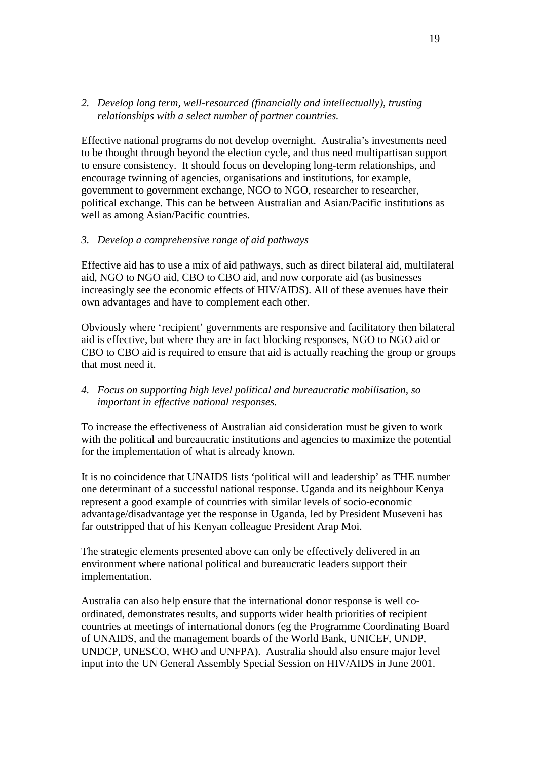## *2. Develop long term, well-resourced (financially and intellectually), trusting relationships with a select number of partner countries.*

Effective national programs do not develop overnight. Australia's investments need to be thought through beyond the election cycle, and thus need multipartisan support to ensure consistency. It should focus on developing long-term relationships, and encourage twinning of agencies, organisations and institutions, for example, government to government exchange, NGO to NGO, researcher to researcher, political exchange. This can be between Australian and Asian/Pacific institutions as well as among Asian/Pacific countries.

## *3. Develop a comprehensive range of aid pathways*

Effective aid has to use a mix of aid pathways, such as direct bilateral aid, multilateral aid, NGO to NGO aid, CBO to CBO aid, and now corporate aid (as businesses increasingly see the economic effects of HIV/AIDS). All of these avenues have their own advantages and have to complement each other.

Obviously where 'recipient' governments are responsive and facilitatory then bilateral aid is effective, but where they are in fact blocking responses, NGO to NGO aid or CBO to CBO aid is required to ensure that aid is actually reaching the group or groups that most need it.

## *4. Focus on supporting high level political and bureaucratic mobilisation, so important in effective national responses.*

To increase the effectiveness of Australian aid consideration must be given to work with the political and bureaucratic institutions and agencies to maximize the potential for the implementation of what is already known.

It is no coincidence that UNAIDS lists 'political will and leadership' as THE number one determinant of a successful national response. Uganda and its neighbour Kenya represent a good example of countries with similar levels of socio-economic advantage/disadvantage yet the response in Uganda, led by President Museveni has far outstripped that of his Kenyan colleague President Arap Moi.

The strategic elements presented above can only be effectively delivered in an environment where national political and bureaucratic leaders support their implementation.

Australia can also help ensure that the international donor response is well coordinated, demonstrates results, and supports wider health priorities of recipient countries at meetings of international donors (eg the Programme Coordinating Board of UNAIDS, and the management boards of the World Bank, UNICEF, UNDP, UNDCP, UNESCO, WHO and UNFPA). Australia should also ensure major level input into the UN General Assembly Special Session on HIV/AIDS in June 2001.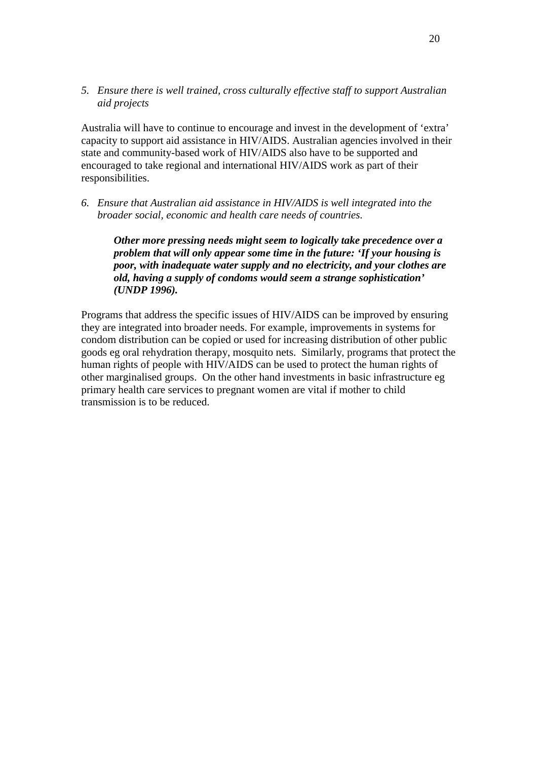*5. Ensure there is well trained, cross culturally effective staff to support Australian aid projects*

Australia will have to continue to encourage and invest in the development of 'extra' capacity to support aid assistance in HIV/AIDS. Australian agencies involved in their state and community-based work of HIV/AIDS also have to be supported and encouraged to take regional and international HIV/AIDS work as part of their responsibilities.

*6. Ensure that Australian aid assistance in HIV/AIDS is well integrated into the broader social, economic and health care needs of countries.*

*Other more pressing needs might seem to logically take precedence over a problem that will only appear some time in the future: 'If your housing is poor, with inadequate water supply and no electricity, and your clothes are old, having a supply of condoms would seem a strange sophistication' (UNDP 1996).*

Programs that address the specific issues of HIV/AIDS can be improved by ensuring they are integrated into broader needs. For example, improvements in systems for condom distribution can be copied or used for increasing distribution of other public goods eg oral rehydration therapy, mosquito nets. Similarly, programs that protect the human rights of people with HIV/AIDS can be used to protect the human rights of other marginalised groups. On the other hand investments in basic infrastructure eg primary health care services to pregnant women are vital if mother to child transmission is to be reduced.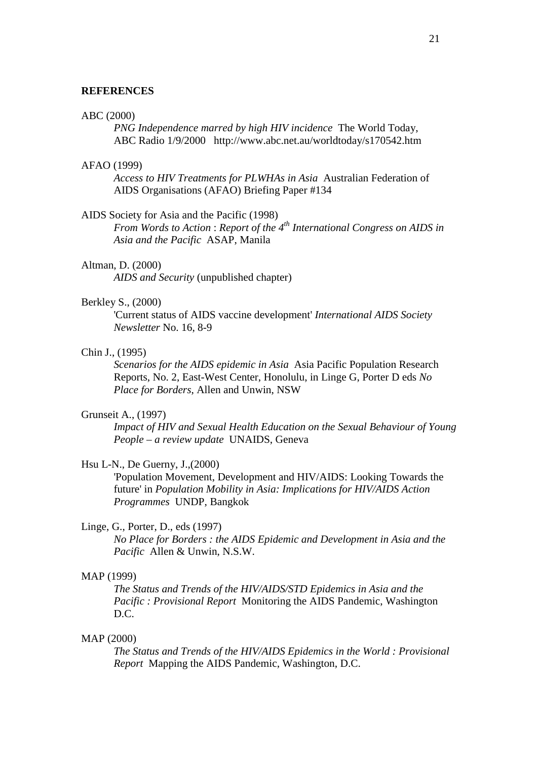#### **REFERENCES**

#### ABC (2000)

*PNG Independence marred by high HIV incidence* The World Today, ABC Radio 1/9/2000 http://www.abc.net.au/worldtoday/s170542.htm

#### AFAO (1999)

*Access to HIV Treatments for PLWHAs in Asia* Australian Federation of AIDS Organisations (AFAO) Briefing Paper #134

#### AIDS Society for Asia and the Pacific (1998)

*From Words to Action* : *Report of the 4th International Congress on AIDS in Asia and the Pacific* ASAP, Manila

#### Altman, D. (2000)

*AIDS and Security* (unpublished chapter)

#### Berkley S., (2000)

'Current status of AIDS vaccine development' *International AIDS Society Newsletter* No. 16, 8-9

#### Chin J., (1995)

*Scenarios for the AIDS epidemic in Asia* Asia Pacific Population Research Reports, No. 2, East-West Center, Honolulu, in Linge G, Porter D eds *No Place for Borders*, Allen and Unwin, NSW

#### Grunseit A., (1997)

*Impact of HIV and Sexual Health Education on the Sexual Behaviour of Young People – a review update* UNAIDS, Geneva

#### Hsu L-N., De Guerny, J.,(2000)

'Population Movement, Development and HIV/AIDS: Looking Towards the future' in *Population Mobility in Asia: Implications for HIV/AIDS Action Programmes* UNDP, Bangkok

#### Linge, G., Porter, D., eds (1997)

*No Place for Borders : the AIDS Epidemic and Development in Asia and the Pacific* Allen & Unwin, N.S.W.

#### MAP (1999)

*The Status and Trends of the HIV/AIDS/STD Epidemics in Asia and the Pacific : Provisional Report* Monitoring the AIDS Pandemic, Washington D.C.

#### MAP (2000)

*The Status and Trends of the HIV/AIDS Epidemics in the World : Provisional Report* Mapping the AIDS Pandemic, Washington, D.C.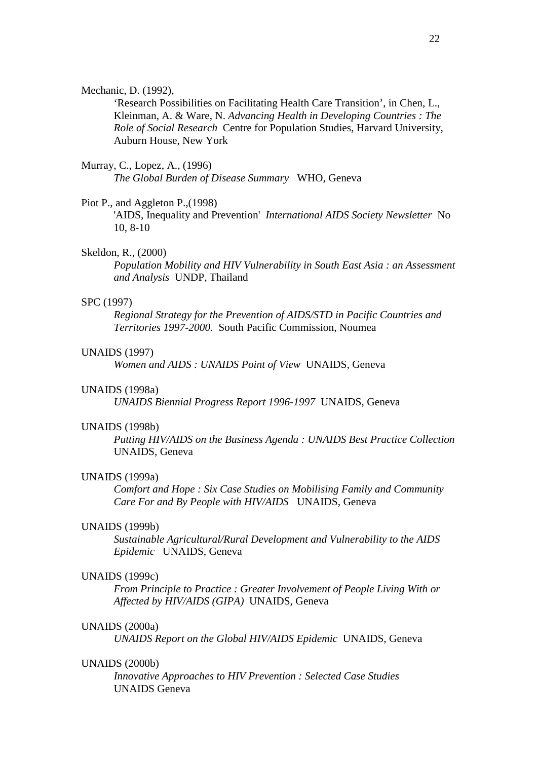#### Mechanic, D. (1992),

'Research Possibilities on Facilitating Health Care Transition', in Chen, L., Kleinman, A. & Ware, N. *Advancing Health in Developing Countries : The Role of Social Research* Centre for Population Studies, Harvard University, Auburn House, New York

## Murray, C., Lopez, A., (1996)

*The Global Burden of Disease Summary* WHO, Geneva

#### Piot P., and Aggleton P.,(1998)

'AIDS, Inequality and Prevention' *International AIDS Society Newsletter* No 10, 8-10

#### Skeldon, R., (2000)

*Population Mobility and HIV Vulnerability in South East Asia : an Assessment and Analysis* UNDP, Thailand

#### SPC (1997)

*Regional Strategy for the Prevention of AIDS/STD in Pacific Countries and Territories 1997-2000*. South Pacific Commission, Noumea

#### UNAIDS (1997)

*Women and AIDS : UNAIDS Point of View* UNAIDS, Geneva

#### UNAIDS (1998a)

*UNAIDS Biennial Progress Report 1996-1997* UNAIDS, Geneva

#### UNAIDS (1998b)

*Putting HIV/AIDS on the Business Agenda : UNAIDS Best Practice Collection* UNAIDS, Geneva

#### UNAIDS (1999a)

*Comfort and Hope : Six Case Studies on Mobilising Family and Community Care For and By People with HIV/AIDS* UNAIDS, Geneva

#### UNAIDS (1999b)

*Sustainable Agricultural/Rural Development and Vulnerability to the AIDS Epidemic* UNAIDS, Geneva

#### UNAIDS (1999c)

*From Principle to Practice : Greater Involvement of People Living With or Affected by HIV/AIDS (GIPA)* UNAIDS, Geneva

#### UNAIDS (2000a)

*UNAIDS Report on the Global HIV/AIDS Epidemic* UNAIDS, Geneva

#### UNAIDS (2000b)

*Innovative Approaches to HIV Prevention : Selected Case Studies* UNAIDS Geneva